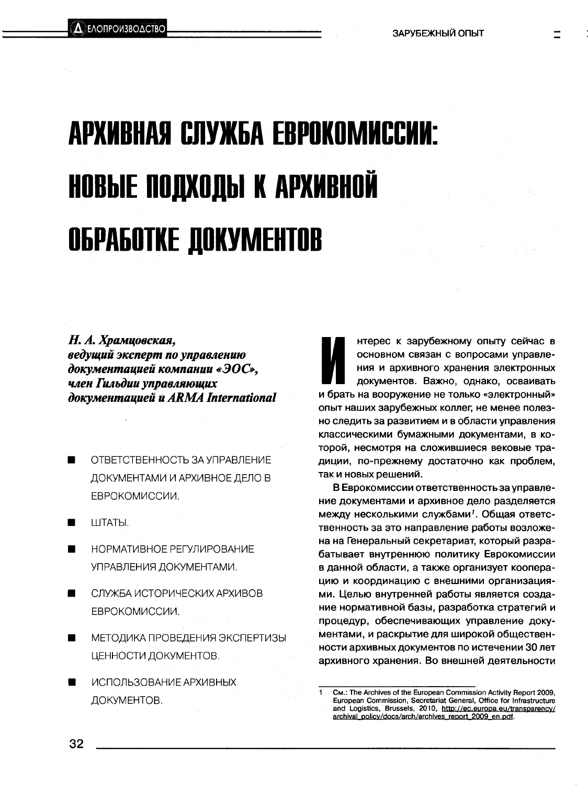## АРХИВНАЯ СЛУЖБА ЕВРОКОМИССИИ: НОВЫЕ ПОДХОДЫ К АРХИВНОЙ **ОБРАБОТКЕ ДОКУМЕНТОВ**

## Н. А. Храмцовская. ведущий эксперт по управлению документацией компании «ЭОС», член Гильдии управляющих документацией и ARMA International

- ОТВЕТСТВЕННОСТЬ ЗА УПРАВЛЕНИЕ ДОКУМЕНТАМИ И АРХИВНОЕ ДЕЛО В ЕВРОКОМИССИИ.
- ШТАТЫ.  $\blacksquare$
- НОРМАТИВНОЕ РЕГУЛИРОВАНИЕ УПРАВЛЕНИЯ ДОКУМЕНТАМИ.
- СЛУЖБА ИСТОРИЧЕСКИХ АРХИВОВ ЕВРОКОМИССИИ.
- МЕТОДИКА ПРОВЕДЕНИЯ ЭКСПЕРТИЗЫ ■ ЦЕННОСТИ ДОКУМЕНТОВ.
- ИСПОЛЬЗОВАНИЕ АРХИВНЫХ ДОКУМЕНТОВ.

нтерес к зарубежному опыту сейчас в основном связан с вопросами управления и архивного хранения электронных документов. Важно, однако, осваивать и брать на вооружение не только «электронный» опыт наших зарубежных коллег, не менее полезно следить за развитием и в области управления классическими бумажными документами, в которой, несмотря на сложившиеся вековые традиции, по-прежнему достаточно как проблем. так и новых решений.

В Еврокомиссии ответственность за управление документами и архивное дело разделяется между несколькими службами<sup>1</sup>. Общая ответственность за это направление работы возложена на Генеральный секретариат, который разрабатывает внутреннюю политику Еврокомиссии в данной области, а также организует кооперацию и координацию с внешними организациями. Целью внутренней работы является создание нормативной базы, разработка стратегий и процедур, обеспечивающих управление документами, и раскрытие для широкой общественности архивных документов по истечении 30 лет архивного хранения. Во внешней деятельности

См.: The Archives of the European Commission Activity Report 2009, European Commission, Secretariat General, Office for Infrastructure and Logistics, Brussels, 2010, http://ec.europa.eu/transparency/ archival\_policy/docs/arch/archives\_report\_2009\_en.pdf.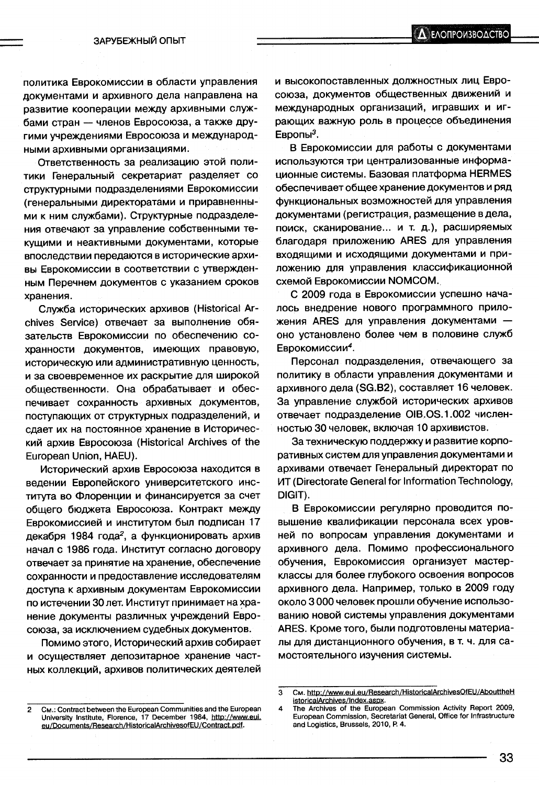политика Еврокомиссии в области управления документами и архивного дела направлена на развитие кооперации между архивными службами стран - членов Евросоюза, а также другими учреждениями Евросоюза и международными архивными организациями.

Ответственность за реализацию этой политики Генеральный секретариат разделяет со структурными подразделениями Еврокомиссии (генеральными директоратами и приравненными к ним службами). Структурные подразделения отвечают за управление собственными текущими и неактивными документами, которые впоследствии передаются в исторические архивы Еврокомиссии в соответствии с утвержденным Перечнем документов с указанием сроков хранения.

Служба исторических архивов (Historical Archives Service) отвечает за выполнение обязательств Еврокомиссии по обеспечению сохранности документов, имеющих правовую, историческую или административную ценность, и за своевременное их раскрытие для широкой общественности. Она обрабатывает и обеспечивает сохранность архивных документов, поступающих от структурных подразделений, и сдает их на постоянное хранение в Исторический архив Евросоюза (Historical Archives of the European Union, HAEU).

Исторический архив Евросоюза находится в ведении Европейского университетского института во Флоренции и финансируется за счет общего бюджета Евросоюза. Контракт между Еврокомиссией и институтом был подписан 17 декабря 1984 года<sup>2</sup>, а функционировать архив начал с 1986 года. Институт согласно договору отвечает за принятие на хранение, обеспечение сохранности и предоставление исследователям доступа к архивным документам Еврокомиссии по истечении 30 лет. Институт принимает на хранение документы различных учреждений Евросоюза, за исключением судебных документов.

Помимо этого, Исторический архив собирает и осуществляет депозитарное хранение частных коллекций, архивов политических деятелей и высокопоставленных должностных лиц Евросоюза, документов общественных движений и международных организаций, игравших и играющих важную роль в процессе объединения Европы<sup>3</sup>.

В Еврокомиссии для работы с документами используются три централизованные информационные системы. Базовая платформа HERMES обеспечивает общее хранение документов и ряд функциональных возможностей для управления документами (регистрация, размещение в дела, поиск, сканирование... и т. д.), расширяемых благодаря приложению ARES для управления входящими и исходящими документами и приложению для управления классификационной схемой Еврокомиссии NOMCOM.

С 2009 года в Еврокомиссии успешно началось внедрение нового программного приложения ARES для управления документами оно установлено более чем в половине служб Еврокомиссии<sup>4</sup>.

Персонал подразделения, отвечающего за политику в области управления документами и архивного дела (SG.B2), составляет 16 человек. За управление службой исторических архивов отвечает подразделение OIB.OS.1.002 численностью 30 человек, включая 10 архивистов.

За техническую поддержку и развитие корпоративных систем для управления документами и архивами отвечает Генеральный директорат по **ИТ (Directorate General for Information Technology,** DIGIT).

В Еврокомиссии регулярно проводится повышение квалификации персонала всех уровней по вопросам управления документами и архивного дела. Помимо профессионального обучения, Еврокомиссия организует мастерклассы для более глубокого освоения вопросов архивного дела. Например, только в 2009 году около 3000 человек прошли обучение использованию новой системы управления документами ARES. Кроме того, были подготовлены материалы для дистанционного обучения, в т. ч. для самостоятельного изучения системы.

См. http://www.eui.eu/Research/HistoricalArchivesOfEU/AbouttheH  $\mathbf{a}$ istoricalArchives/Index.aspx.

CM.: Contract between the European Communities and the European  $\boldsymbol{4}$ University Institute, Florence, 17 December 1984, http://www.eui. eu/Documents/Research/HistoricalArchivesofEU/Contract.pdf.

The Archives of the European Commission Activity Report 2009, European Commission, Secretariat General, Office for Infrastructure and Logistics, Brussels, 2010, P. 4.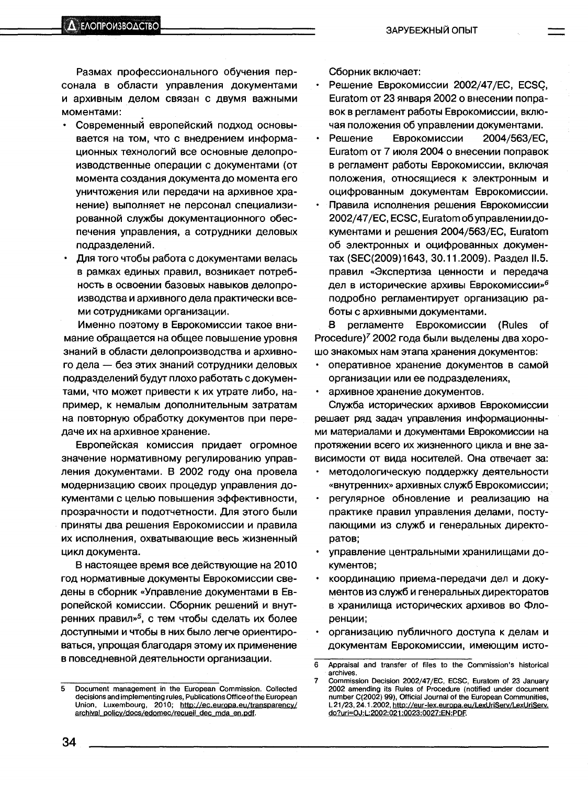Размах профессионального обучения персонала в области управления документами и архивным делом связан с двумя важными моментами:

- Современный европейский подход основывается на том, что с внедрением информационных технологий все основные делопроизводственные операции с документами (от момента создания документа до момента его уничтожения или передачи на архивное хранение) выполняет не персонал специализированной службы документационного обеспечения управления, а сотрудники деловых подразделений.
- Для того чтобы работа с документами велась в рамках единых правил, возникает потребность в освоении базовых навыков делопроизводства и архивного дела практически всеми сотрудниками организации.

Именно поэтому в Еврокомиссии такое внимание обращается на общее повышение уровня знаний в области делопроизводства и архивного дела - без этих знаний сотрудники деловых подразделений будут плохо работать с документами, что может привести к их утрате либо, например, к немалым дополнительным затратам на повторную обработку документов при передаче их на архивное хранение.

Европейская комиссия придает огромное значение нормативному регулированию управления документами. В 2002 году она провела модернизацию своих процедур управления документами с целью повышения эффективности, прозрачности и подотчетности. Для этого были приняты два решения Еврокомиссии и правила их исполнения, охватывающие весь жизненный цикл документа.

В настоящее время все действующие на 2010 год нормативные документы Еврокомиссии сведены в сборник «Управление документами в Европейской комиссии. Сборник решений и внутренних правил»<sup>5</sup>, с тем чтобы сделать их более доступными и чтобы в них было легче ориентироваться, упрощая благодаря этому их применение в повседневной деятельности организации.

Сборник включает:

- Решение Еврокомиссии 2002/47/EC, ECSC, Euratom от 23 января 2002 о внесении поправок в регламент работы Еврокомиссии, включая положения об управлении документами.
- Решение Еврокомиссии 2004/563/EC. Euratom от 7 июля 2004 о внесении поправок в регламент работы Еврокомиссии, включая положения, относящиеся к электронным и оцифрованным документам Еврокомиссии.
- Правила исполнения решения Еврокомиссии  $\bullet$ 2002/47/EC, ECSC, Euratom об управлении документами и решения 2004/563/EC, Euratom об электронных и оцифрованных документах (SEC(2009)1643, 30.11.2009). Раздел II.5. правил «Экспертиза ценности и передача дел в исторические архивы Еврокомиссии»<sup>6</sup> подробно регламентирует организацию работы с архивными документами.

B. регламенте Еврокомиссии (Rules Ωf Procedure)<sup>7</sup> 2002 года были выделены два хорошо знакомых нам этапа хранения документов:

- оперативное хранение документов в самой организации или ее подразделениях,
- архивное хранение документов.  $\bullet$

Служба исторических архивов Еврокомиссии решает ряд задач управления информационными материалами и документами Еврокомиссии на протяжении всего их жизненного цикла и вне зависимости от вида носителей. Она отвечает за:

- методологическую поддержку деятельности «внутренних» архивных служб Еврокомиссии;
- $\bullet$ регулярное обновление и реализацию на практике правил управления делами, поступающими из служб и генеральных директоратов:
- управление центральными хранилищами до- $\bullet$ кументов;
- координацию приема-передачи дел и документов из служб и генеральных директоратов в хранилища исторических архивов во Флоренции;
- организацию публичного доступа к делам и документам Еврокомиссии, имеющим исто-

<sup>5</sup> Document management in the European Commission. Collected decisions and implementing rules, Publications Office of the European Union, Luxembourg, 2010; http://ec.europa.eu/transparency/ archival\_policy/docs/edomec/recueil\_dec\_mda\_en.pdf.

 $\overline{6}$ Appraisal and transfer of files to the Commission's historical archives.

 $\overline{7}$ Commission Decision 2002/47/EC, ECSC, Euratom of 23 January 2002 amending its Rules of Procedure (notified under document number C(2002) 99), Official Journal of the European Communities, L 21/23, 24.1.2002, http://eur-lex.europa.eu/LexUriServ/LexUriServ. do?uri=OJ:L:2002:021:0023:0027:EN:PDF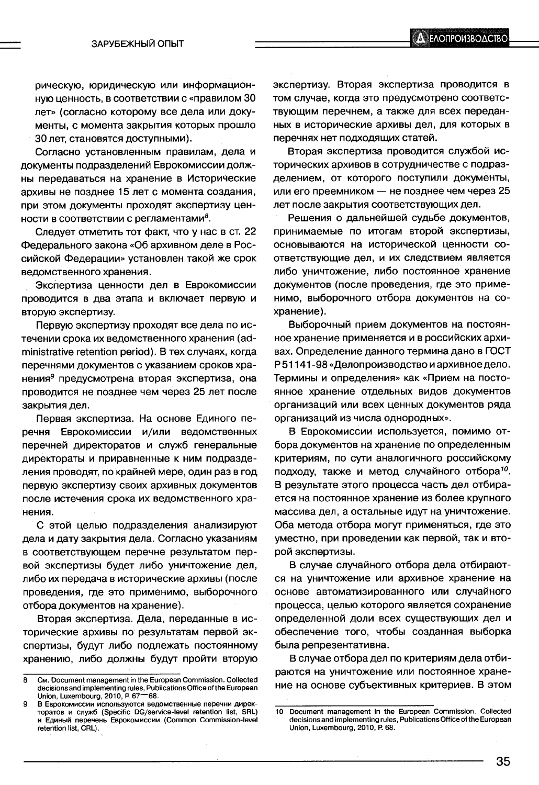рическую, юридическую или информационную ценность, в соответствии с «правилом 30 лет» (согласно которому все дела или документы, с момента закрытия которых прошло 30 лет, становятся доступными).

Согласно установленным правилам, дела и документы подразделений Еврокомиссии должны передаваться на хранение в Исторические архивы не позднее 15 лет с момента создания, при этом документы проходят экспертизу ценности в соответствии с регламентами $\delta$ .

Следует отметить тот факт, что у нас в ст. 22 Федерального закона «Об архивном деле в Российской Федерации» установлен такой же срок ведомственного хранения.

Экспертиза ценности дел в Еврокомиссии проводится в два этапа и включает первую и вторую экспертизу.

Первую экспертизу проходят все дела по истечении срока их ведомственного хранения (administrative retention period). В тех случаях, когда перечнями документов с указанием сроков хранения<sup>9</sup> предусмотрена вторая экспертиза, она проводится не позднее чем через 25 лет после закрытия дел.

Первая экспертиза. На основе Единого перечня Еврокомиссии и/или ведомственных перечней директоратов и служб генеральные директораты и приравненные к ним подразделения проводят, по крайней мере, один раз в год первую экспертизу своих архивных документов после истечения срока их ведомственного хранения.

С этой целью подразделения анализируют дела и дату закрытия дела. Согласно указаниям в соответствующем перечне результатом первой экспертизы будет либо уничтожение дел, либо их передача в исторические архивы (после проведения, где это применимо, выборочного отбора документов на хранение).

Вторая экспертиза. Дела, переданные в исторические архивы по результатам первой экспертизы, будут либо подлежать постоянному хранению, либо должны будут пройти вторую экспертизу. Вторая экспертиза проводится в том случае, когда это предусмотрено соответствующим перечнем, а также для всех переданных в исторические архивы дел, для которых в перечнях нет подходящих статей.

Вторая экспертиза проводится службой исторических архивов в сотрудничестве с подразделением, от которого поступили документы, или его преемником - не позднее чем через 25 лет после закрытия соответствующих дел.

Решения о дальнейшей судьбе документов, принимаемые по итогам второй экспертизы, основываются на исторической ценности соответствующие дел, и их следствием является либо уничтожение, либо постоянное хранение документов (после проведения, где это применимо, выборочного отбора документов на сохранение).

Выборочный прием документов на постоянное хранение применяется и в российских архивах. Определение данного термина дано в ГОСТ Р51141-98 «Делопроизводство и архивное дело. Термины и определения» как «Прием на постоянное хранение отдельных видов документов организаций или всех ценных документов ряда организаций из числа однородных».

В Еврокомиссии используется, помимо отбора документов на хранение по определенным критериям, по сути аналогичного российскому подходу, также и метод случайного отбора<sup>10</sup>. В результате этого процесса часть дел отбирается на постоянное хранение из более крупного массива дел, а остальные идут на уничтожение. Оба метода отбора могут применяться, где это уместно, при проведении как первой, так и второй экспертизы.

В случае случайного отбора дела отбираются на уничтожение или архивное хранение на основе автоматизированного или случайного процесса, целью которого является сохранение определенной доли всех существующих дел и обеспечение того, чтобы созданная выборка была репрезентативна.

В случае отбора дел по критериям дела отбираются на уничтожение или постоянное хранение на основе субъективных критериев. В этом

 $\mathbf{a}$ См. Document management in the European Commission. Collected decisions and implementing rules, Publications Office of the European Union, Luxembourg, 2010, P. 67-68.

В Еврокомиссии используются ведомственные перечни дирек-Q торатов и служб (Specific DG/service-level retention list, SRL) и Единый перечень Еврокомиссии (Common Commission-level retention list, CRL).

<sup>10</sup> Document management in the European Commission. Collected decisions and implementing rules, Publications Office of the European Union, Luxembourg, 2010, P. 68.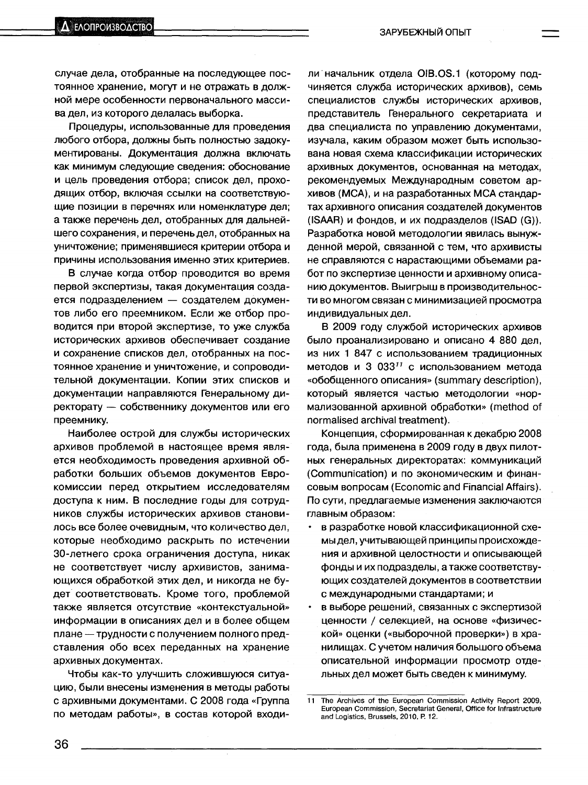случае дела, отобранные на последующее постоянное хранение, могут и не отражать в должной мере особенности первоначального массива дел, из которого делалась выборка.

Процедуры, использованные для проведения любого отбора, должны быть полностью задокументированы. Документация должна включать как минимум следующие сведения: обоснование и цель проведения отбора; список дел, проходящих отбор, включая ссылки на соответствующие позиции в перечнях или номенклатуре дел; а также перечень дел, отобранных для дальнейшего сохранения, и перечень дел, отобранных на уничтожение; применявшиеся критерии отбора и причины использования именно этих критериев.

В случае когда отбор проводится во время первой экспертизы, такая документация создается подразделением - создателем документов либо его преемником. Если же отбор проводится при второй экспертизе, то уже служба исторических архивов обеспечивает создание и сохранение списков дел, отобранных на постоянное хранение и уничтожение, и сопроводительной документации. Копии этих списков и документации направляются Генеральному директорату - собственнику документов или его преемнику.

Наиболее острой для службы исторических архивов проблемой в настоящее время является необходимость проведения архивной обработки больших объемов документов Еврокомиссии перед открытием исследователям доступа к ним. В последние годы для сотрудников службы исторических архивов становилось все более очевидным, что количество дел, которые необходимо раскрыть по истечении 30-летнего срока ограничения доступа, никак не соответствует числу архивистов, занимающихся обработкой этих дел, и никогда не будет соответствовать. Кроме того, проблемой также является отсутствие «контекстуальной» информации в описаниях дел и в более общем плане - трудности с получением полного представления обо всех переданных на хранение архивных документах.

Чтобы как-то улучшить сложившуюся ситуацию, были внесены изменения в методы работы с архивными документами. С 2008 года «Группа по методам работы», в состав которой входи-

ли начальник отдела OIB.OS.1 (которому подчиняется служба исторических архивов), семь специалистов службы исторических архивов, представитель Генерального секретариата и два специалиста по управлению документами, изучала, каким образом может быть использована новая схема классификации исторических архивных документов, основанная на методах, рекомендуемых Международным советом архивов (МСА), и на разработанных МСА стандартах архивного описания создателей документов (ISAAR) и фондов, и их подразделов (ISAD (G)). Разработка новой методологии явилась вынужденной мерой, связанной с тем, что архивисты не справляются с нарастающими объемами работ по экспертизе ценности и архивному описанию документов. Выигрыш в производительности во многом связан с минимизацией просмотра индивидуальных дел.

В 2009 году службой исторических архивов было проанализировано и описано 4 880 дел. из них 1 847 с использованием традиционных методов и 3 033<sup>11</sup> с использованием метода «обобщенного описания» (summary description), который является частью методологии «нормализованной архивной обработки» (method of normalised archival treatment).

Концепция, сформированная к декабрю 2008 года, была применена в 2009 году в двух пилотных генеральных директоратах: коммуникаций (Communication) и по экономическим и финансовым вопросам (Economic and Financial Affairs). По сути, предлагаемые изменения заключаются главным образом:

- в разработке новой классификационной схемы дел, учитывающей принципы происхождения и архивной целостности и описывающей фонды и их подразделы, а также соответствующих создателей документов в соответствии с международными стандартами; и
- в выборе решений, связанных с экспертизой ценности / селекцией, на основе «физической» оценки («выборочной проверки») в хранилищах. С учетом наличия большого объема описательной информации просмотр отдельных дел может быть сведен к минимуму.

 $11$ The Archives of the European Commission Activity Report 2009, European Commission, Secretariat General, Office for Infrastructure and Logistics, Brussels, 2010, P. 12.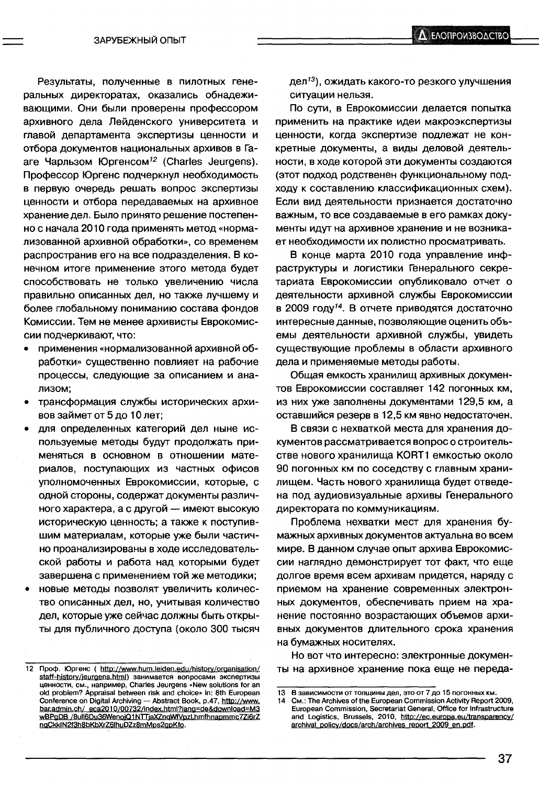Результаты, полученные в пилотных генеральных директоратах, оказались обнадеживающими. Они были проверены профессором архивного дела Лейденского университета и главой департамента экспертизы ценности и отбора документов национальных архивов в Гааге Чарльзом Юргенсом<sup>12</sup> (Charles Jeurgens). Профессор Юргенс подчеркнул необходимость в первую очередь решать вопрос экспертизы ценности и отбора передаваемых на архивное хранение дел. Было принято решение постепенно с начала 2010 года применять метод «нормализованной архивной обработки», со временем распространив его на все подразделения. В конечном итоге применение этого метода будет способствовать не только увеличению числа правильно описанных дел, но также лучшему и более глобальному пониманию состава фондов Комиссии. Тем не менее архивисты Еврокомиссии подчеркивают, что:

- применения «нормализованной архивной обработки» существенно повлияет на рабочие процессы, следующие за описанием и анализом:
- трансформация службы исторических архивов займет от 5 до 10 лет;
- для определенных категорий дел ныне используемые методы будут продолжать применяться в основном в отношении материалов, поступающих из частных офисов уполномоченных Еврокомиссии, которые, с одной стороны, содержат документы различного характера, а с другой - имеют высокую историческую ценность; а также к поступившим материалам, которые уже были частично проанализированы в ходе исследовательской работы и работа над которыми будет завершена с применением той же методики;
- новые методы позволят увеличить количество описанных дел, но, учитывая количество дел, которые уже сейчас должны быть открыты для публичного доступа (около 300 тысяч

дел<sup>13</sup>), ожидать какого-то резкого улучшения ситуации нельзя.

По сути, в Еврокомиссии делается попытка применить на практике идеи макроэкспертизы ценности, когда экспертизе подлежат не конкретные документы, а виды деловой деятельности, в ходе которой эти документы создаются (этот подход родственен функциональному подходу к составлению классификационных схем). Если вид деятельности признается достаточно важным, то все создаваемые в его рамках документы идут на архивное хранение и не возникает необходимости их полистно просматривать.

В конце марта 2010 года управление инфраструктуры и логистики Генерального секретариата Еврокомиссии опубликовало отчет о деятельности архивной службы Еврокомиссии в 2009 году<sup>14</sup>. В отчете приводятся достаточно интересные данные, позволяющие оценить объемы деятельности архивной службы, увидеть существующие проблемы в области архивного дела и применяемые методы работы.

Общая емкость хранилищ архивных документов Еврокомиссии составляет 142 погонных км, из них уже заполнены документами 129,5 км, а оставшийся резерв в 12,5 км явно недостаточен.

В связи с нехваткой места для хранения документов рассматривается вопрос о строительстве нового хранилища KORT1 емкостью около 90 погонных км по соседству с главным хранилищем. Часть нового хранилища будет отведена под аудиовизуальные архивы Генерального директората по коммуникациям.

Проблема нехватки мест для хранения бумажных архивных документов актуальна во всем мире. В данном случае опыт архива Еврокомиссии наглядно демонстрирует тот факт, что еще долгое время всем архивам придется, наряду с приемом на хранение современных электронных документов, обеспечивать прием на хранение постоянно возрастающих объемов архивных документов длительного срока хранения на бумажных носителях.

Но вот что интересно: электронные документы на архивное хранение пока еще не переда-

 $12$ Проф. Юргенс ( http://www.hum.leiden.edu/history/organisation/ staff-history/jeurgens.html) занимается вопросами экспертизы<br>ценности, см., например, Charles Jeurgens «New solutions for an old problem? Appraisal between risk and choice» in: 8th European Conference on Digital Archiving - Abstract Book, p.47, http://www. bar.admin.ch/ eca2010/00732/index.html?lang=de&download=M3 wBPgDB /8ull6Du36WenoiQ1NTTjaXZnqWfVpzLhmfhnapmmc7Zi6rZ ngCkkIN2f3h8bKbXrZ6lhuDZz8mMps2gpKfo.

<sup>13</sup> В зависимости от толщины дел, это от 7 до 15 погонных км.

CM.: The Archives of the European Commission Activity Report 2009,  $14$ European Commission, Secretariat General, Office for Infrastructure and Logistics, Brussels, 2010, http://ec.europa.eu/transparency/ archival\_policy/docs/arch/archives\_report\_2009\_en.pdf.